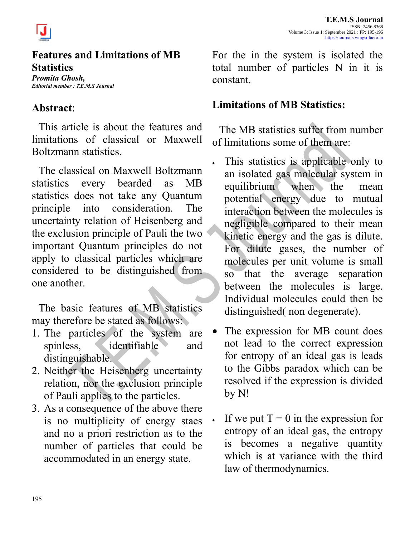



## **Features and Limitations of MB Statistics**

*Promita Ghosh, Editorial member : T.E.M.S Journal*

## **Abstract**:

This article is about the features and limitations of classical or Maxwell Boltzmann statistics.

The classical on Maxwell Boltzmann statistics every bearded as MB statistics does not take any Quantum principle into consideration. The uncertainty relation of Heisenberg and the exclusion principle of Pauli the two important Quantum principles do not apply to classical particles which are considered to be distinguished from one another.

The basic features of MB statistics may therefore be stated as follows:

- 1. The particles of the system are spinless, identifiable and distinguishable.
- 2. Neither the Heisenberg uncertainty relation, nor the exclusion principle of Pauli applies to the particles.
- 3. As a consequence of the above there is no multiplicity of energy staes and no a priori restriction as to the number of particles that could be accommodated in an energy state.

For the in the system is isolated the total number of particles N in it is constant.

## **Limitations of MB Statistics:**

The MB statistics suffer from number of limitations some of them are:

- This statistics is applicable only to an isolated gas molecular system in equilibrium when the mean potential energy due to mutual interaction between the molecules is negligible compared to their mean kinetic energy and the gas is dilute. For dilute gases, the number of molecules per unit volume is small so that the average separation between the molecules is large. Individual molecules could then be distinguished( non degenerate).
- The expression for MB count does not lead to the correct expression for entropy of an ideal gas is leads to the Gibbs paradox which can be resolved if the expression is divided by N!
- If we put  $T = 0$  in the expression for entropy of an ideal gas, the entropy is becomes a negative quantity which is at variance with the third law of thermodynamics.